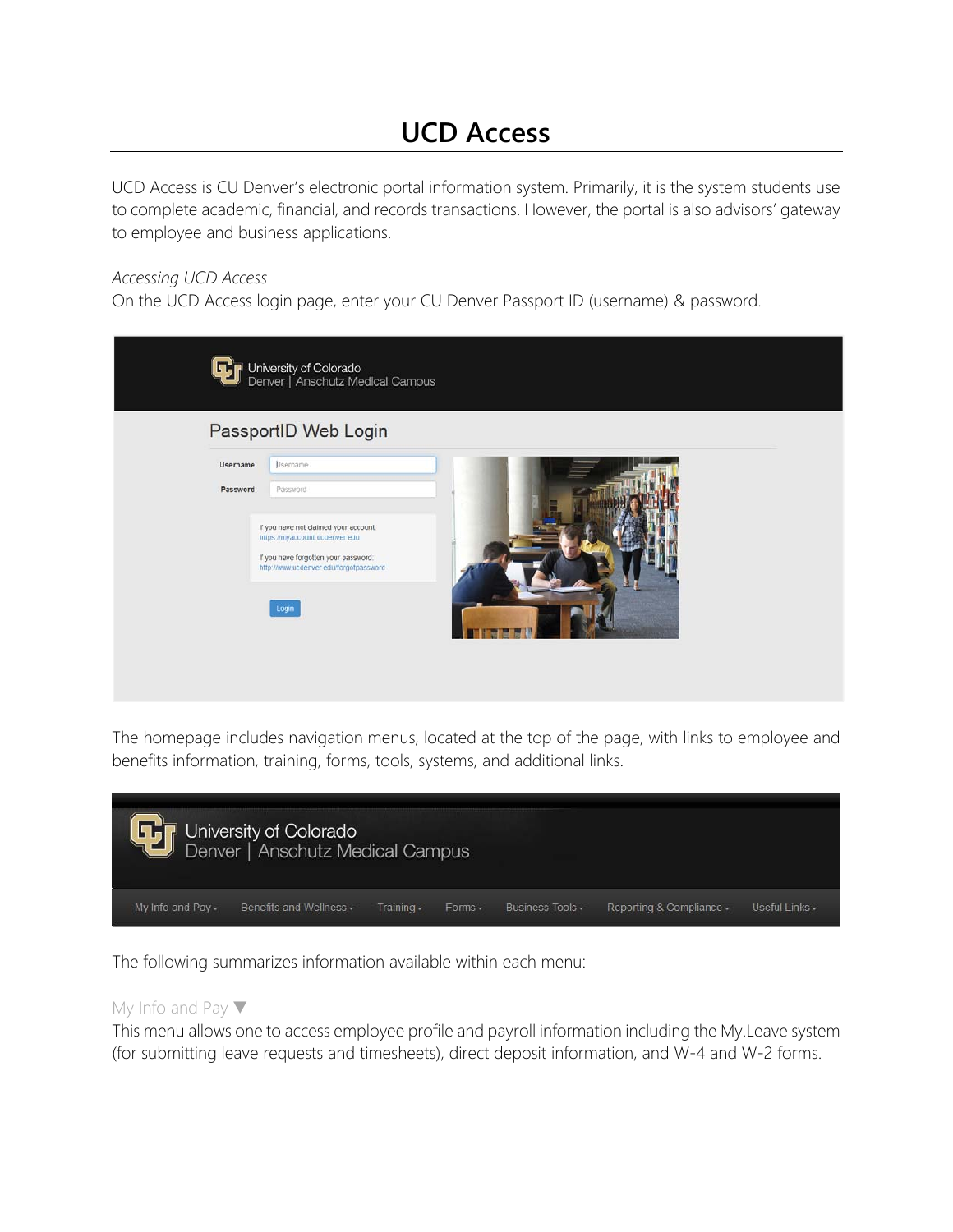# **UCD Access**

UCD Access is CU Denver's electronic portal information system. Primarily, it is the system students use to complete academic, financial, and records transactions. However, the portal is also advisors' gateway to employee and business applications.

# *Accessing UCD Access*

On the UCD Access login page, enter your CU Denver Passport ID (username) & password.

| University of Colorado<br>Denver   Anschutz Medical Campus                                                                                                                                                          |  |
|---------------------------------------------------------------------------------------------------------------------------------------------------------------------------------------------------------------------|--|
| PassportID Web Login                                                                                                                                                                                                |  |
| Username<br>Lisername<br>Password<br>Password<br>If you have not claimed your account:<br>https://myaccount.ucdenver.edu<br>If you have forgotten your password.<br>http://www.ucdenver.edu/forgotpassword<br>Login |  |

The homepage includes navigation menus, located at the top of the page, with links to employee and benefits information, training, forms, tools, systems, and additional links.



The following summarizes information available within each menu:

## My Info and Pay ▼

This menu allows one to access employee profile and payroll information including the My.Leave system (for submitting leave requests and timesheets), direct deposit information, and W-4 and W-2 forms.